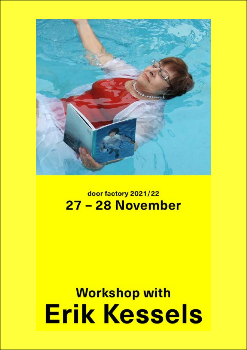

## door factory 2021/22 27 - 28 November

# **Workshop with Erik Kessels**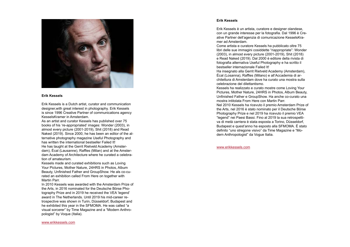

#### **Erik Kessels**

Erik Kessels is a Dutch artist, curator and communication designer,with great interest in photography. Erik Kessels is since 1996 Creative Partner of communications agency KesselsKramer in Amsterdam.

As an artist and curator Kessels has published over 75 books of his 're-appropriated' images: Wonder (2003), in almost every picture (2001-2019), Shit (2018) and Read Naked (2019). Since 2000, he has been an editor of the al ternative photography magazine Useful Photography and has written the international bestseller Failed It! He has taught at the Gerrit Rietveld Academy (Amster dam), Écal (Lausanne), Raffles (Milan) and at the Amster dam Academy of Architecture where he curated a celebra tion of amateurism.

Kessels made and curated exhibitions such as Loving Your Pictures, Mother Nature, 24HRS in Photos, Album Beauty, Unfinished Father and GroupShow. He als co-cu rated an exhibition called From Here on together with Martin Parr.

In 2010 Kessels was awarded with the Amsterdam Prize of the Arts, in 2016 nominated for the Deutsche Börse Pho tography Prize and in 2019 he received the VEA 'legend' award in The Netherlands. Until 2019 his mid-career re trospective was shown in Turin, Düsseldorf, Budapest and he exhibited this year in the SFMOMA. He was called "a visual sorcerer" by Time Magazine and a "Modern Anthro pologist" by Voque (Italia).

[www.erikkessels.com](http://www.erikkessels.com)

#### **Erik Kessels**

Erik Kessels è un artista, curatore e designer olandese, con un grande interesse per la fotografia. Dal 1996 è Cre ative Partner dell'agenzia di comunicazione KesselsKra mer ad Amsterdam.

Come artista e curatore Kessels ha pubblicato oltre 75 libri delle sue immagini cosiddette "riappropriate": Wonder (2003), in almost every picture (2001-2019), Shit (2018) e Read Naked (2019). Dal 2000 è editore della rivista di fotografia alternativa Useful Photography e ha scritto il bestseller internazionale Failed It! Ha insegnato alla Gerrit Rietveld Academy (Amsterdam), Écal (Losanna), Raffles (Milano) e all'Accademia di ar chitettura di Amsterdam dove ha curato una mostra sulla celebrazione del dilettantismo. Kessels ha realizzato e curato mostre come Loving Your Pictures, Mother Nature, 24HRS in Photos, Album Beauty, Unfinished Father e GroupShow. Ha anche co-curato una mostra intitolata From Here con Martin Parr. Nel 2010 Kessels ha ricevuto il premio Amsterdam Prize of the Arts, nel 2016 è stato nominato per il Deutsche Börse Photography Prize e nel 2019 ha ricevuto il premio VEA "legend" nei Paesi Bassi. Fino al 2019 la sua retrospetti va di metà carriera è stata esposta a Torino, Düsseldorf, Budapest e quest'anno ha esposto alla SFMOMA. È stato definito "uno stregone visivo" da Time Magazine e "Mo dern Anthropologist" da Vogue Italia.

#### [www.erikkessels.com](http://www.erikkessels.com)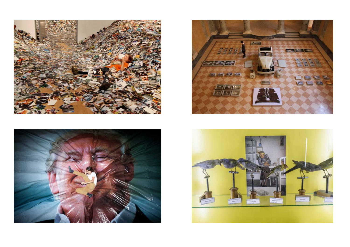





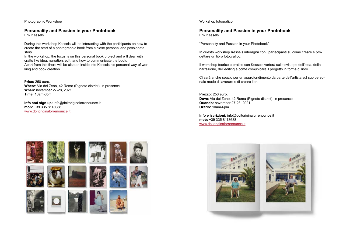Photographic Workshop

### **Personality and Passion in your Photobook**

Erik Kessels

During this workshop Kessels will be interacting with the participants on how to create the start of a photographic book from a close personal and passionate story.

In the workshop, the focus is on this personal book project and will deal with crafts like idea, narration, edit, and how to communicate the book. Apart from this there will be also an inside into Kessels his personal way of working and book creation.

**Price:** 250 euro. **Where**: Via dei Zeno, 42 Roma (Pigneto district), in presence **When:** november 27-28, 2021 **Time:** 10am-6pm

**Info and sign up:** info@doitoriginalorrenounce.it **mob:** +39 335 8113688 [www.doitoriginalorrenounce.it](http://www.doitoriginalorrenounce.it)



Workshop fotografico

**Personality and Passion in your Photobook** Erik Kessels

"Personality and Passion in your Photobook"

In questo workshop Kessels interagirà con i partecipanti su come creare e progettare un libro fotografico.

Il workshop teorico e pratico con Kessels verterà sullo sviluppo dell'idea, della narrazione, dell'editing e come comunicare il progetto in forma di libro.

Ci sarà anche spazio per un approfondimento da parte dell'artista sul suo personale modo di lavorare e di creare libri.

**Prezzo:** 250 euro. **Dove**: Via dei Zeno, 42 Roma (Pigneto district), in presence **Quando:** november 27-28, 2021 **Orario:** 10am-6pm

**Info e iscrizioni:** info@doitoriginalorrenounce.it **mob:** +39 335 8113688 [www.doitoriginalorrenounce.it](http://www.doitoriginalorrenounce.it)



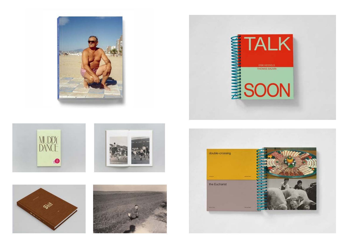